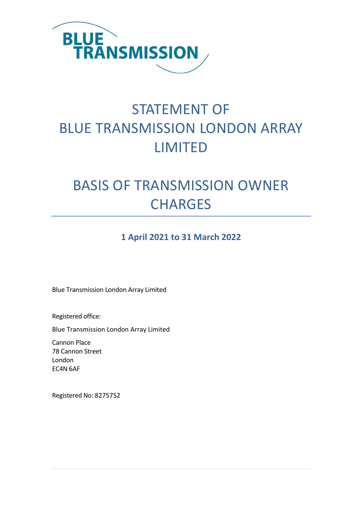

# STATEMENT OF BLUE TRANSMISSION LONDON ARRAY LIMITED

# BASIS OF TRANSMISSION OWNER **CHARGES**

### **1 April 2021 to 31 March 2022**

Blue Transmission London Array Limited

Registered office:

Blue Transmission London Array Limited

Cannon Place 78 Cannon Street London EC4N 6AF

Registered No: 8275752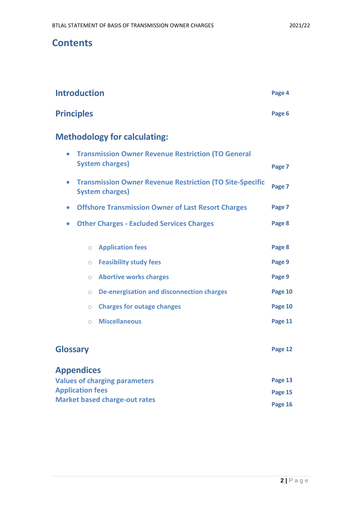### **Contents**

| <b>Introduction</b> | Page 4 |
|---------------------|--------|
| <b>Principles</b>   | Page 6 |

# **Methodology for calculating:**

| <b>Transmission Owner Revenue Restriction (TO General</b><br>$\bullet$<br><b>System charges)</b><br><b>Transmission Owner Revenue Restriction (TO Site-Specific</b><br>$\bullet$<br><b>System charges)</b> |                                                  |         |
|------------------------------------------------------------------------------------------------------------------------------------------------------------------------------------------------------------|--------------------------------------------------|---------|
|                                                                                                                                                                                                            |                                                  |         |
| $\bullet$                                                                                                                                                                                                  | <b>Other Charges - Excluded Services Charges</b> | Page 8  |
| $\circ$                                                                                                                                                                                                    | <b>Application fees</b>                          | Page 8  |
| $\circ$                                                                                                                                                                                                    | <b>Feasibility study fees</b>                    | Page 9  |
| $\circ$                                                                                                                                                                                                    | <b>Abortive works charges</b>                    | Page 9  |
| $\circ$                                                                                                                                                                                                    | <b>De-energisation and disconnection charges</b> | Page 10 |
| $\circ$                                                                                                                                                                                                    | <b>Charges for outage changes</b>                | Page 10 |
| $\Omega$                                                                                                                                                                                                   | <b>Miscellaneous</b>                             | Page 11 |
| <b>Glossary</b>                                                                                                                                                                                            |                                                  | Page 12 |
| <b>Appendices</b>                                                                                                                                                                                          |                                                  |         |
| <b>Values of charging parameters</b>                                                                                                                                                                       |                                                  | Page 13 |
| <b>Application fees</b>                                                                                                                                                                                    | <b>Market based charge-out rates</b>             | Page 15 |
|                                                                                                                                                                                                            |                                                  |         |

**Page 16**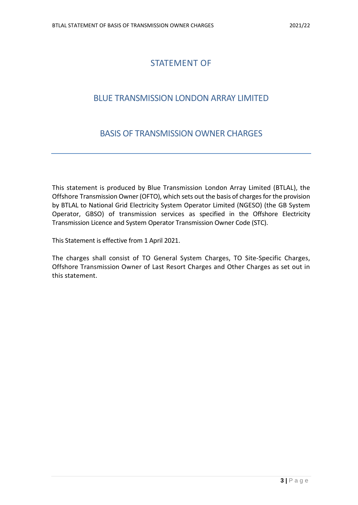### STATEMENT OF

### BLUE TRANSMISSION LONDON ARRAY LIMITED

### BASIS OF TRANSMISSION OWNER CHARGES

This statement is produced by Blue Transmission London Array Limited (BTLAL), the Offshore Transmission Owner (OFTO), which sets out the basis of charges for the provision by BTLAL to National Grid Electricity System Operator Limited (NGESO) (the GB System Operator, GBSO) of transmission services as specified in the Offshore Electricity Transmission Licence and System Operator Transmission Owner Code (STC).

This Statement is effective from 1 April 2021.

The charges shall consist of TO General System Charges, TO Site-Specific Charges, Offshore Transmission Owner of Last Resort Charges and Other Charges as set out in this statement.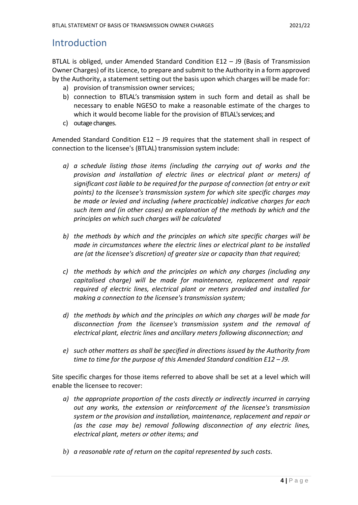### **Introduction**

BTLAL is obliged, under Amended Standard Condition E12 – J9 (Basis of Transmission Owner Charges) of its Licence, to prepare and submit to the Authority in a form approved by the Authority, a statement setting out the basis upon which charges will be made for:

- a) provision of transmission owner services;
- b) connection to BTLAL's transmission system in such form and detail as shall be necessary to enable NGESO to make a reasonable estimate of the charges to which it would become liable for the provision of BTLAL's services; and
- c) outage changes.

Amended Standard Condition E12 – J9 requires that the statement shall in respect of connection to the licensee's (BTLAL) transmission system include:

- *a) a schedule listing those items (including the carrying out of works and the provision and installation of electric lines or electrical plant or meters) of significant cost liable to be required for the purpose of connection (at entry or exit points) to the licensee's transmission system for which site specific charges may be made or levied and including (where practicable) indicative charges for each such item and (in other cases) an explanation of the methods by which and the principles on which such charges will be calculated*
- *b) the methods by which and the principles on which site specific charges will be made in circumstances where the electric lines or electrical plant to be installed are (at the licensee's discretion) of greater size or capacity than that required;*
- *c) the methods by which and the principles on which any charges (including any capitalised charge) will be made for maintenance, replacement and repair required of electric lines, electrical plant or meters provided and installed for making a connection to the licensee's transmission system;*
- *d) the methods by which and the principles on which any charges will be made for disconnection from the licensee's transmission system and the removal of electrical plant, electric lines and ancillary meters following disconnection; and*
- *e) such other matters as shall be specified in directions issued by the Authority from time to time for the purpose of this Amended Standard condition E12 – J9.*

Site specific charges for those items referred to above shall be set at a level which will enable the licensee to recover:

- *a) the appropriate proportion of the costs directly or indirectly incurred in carrying out any works, the extension or reinforcement of the licensee's transmission system or the provision and installation, maintenance, replacement and repair or (as the case may be) removal following disconnection of any electric lines, electrical plant, meters or other items; and*
- *b) a reasonable rate of return on the capital represented by such costs.*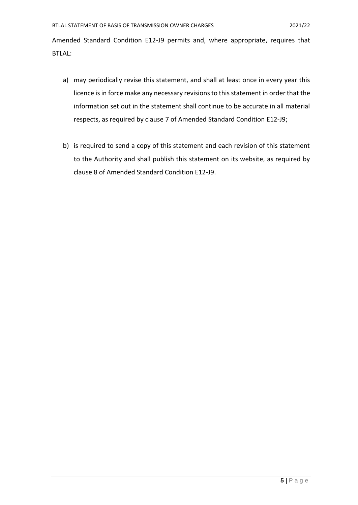Amended Standard Condition E12-J9 permits and, where appropriate, requires that BTLAL:

- a) may periodically revise this statement, and shall at least once in every year this licence is in force make any necessary revisions to this statement in order that the information set out in the statement shall continue to be accurate in all material respects, as required by clause 7 of Amended Standard Condition E12-J9;
- b) is required to send a copy of this statement and each revision of this statement to the Authority and shall publish this statement on its website, as required by clause 8 of Amended Standard Condition E12-J9.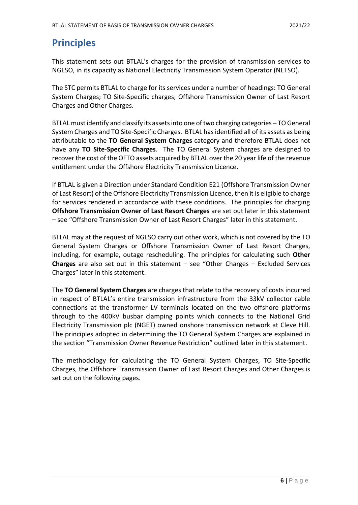# **Principles**

This statement sets out BTLAL's charges for the provision of transmission services to NGESO, in its capacity as National Electricity Transmission System Operator (NETSO).

The STC permits BTLAL to charge for its services under a number of headings: TO General System Charges; TO Site-Specific charges; Offshore Transmission Owner of Last Resort Charges and Other Charges.

BTLAL must identify and classify its assets into one of two charging categories – TO General System Charges and TO Site-Specific Charges. BTLAL has identified all of its assets as being attributable to the **TO General System Charges** category and therefore BTLAL does not have any **TO Site-Specific Charges**. The TO General System charges are designed to recover the cost of the OFTO assets acquired by BTLAL over the 20 year life of the revenue entitlement under the Offshore Electricity Transmission Licence.

If BTLAL is given a Direction under Standard Condition E21 (Offshore Transmission Owner of Last Resort) of the Offshore Electricity Transmission Licence, then it is eligible to charge for services rendered in accordance with these conditions. The principles for charging **Offshore Transmission Owner of Last Resort Charges** are set out later in this statement – see "Offshore Transmission Owner of Last Resort Charges" later in this statement.

BTLAL may at the request of NGESO carry out other work, which is not covered by the TO General System Charges or Offshore Transmission Owner of Last Resort Charges, including, for example, outage rescheduling. The principles for calculating such **Other Charges** are also set out in this statement – see "Other Charges – Excluded Services Charges" later in this statement.

The **TO General System Charges** are charges that relate to the recovery of costs incurred in respect of BTLAL's entire transmission infrastructure from the 33kV collector cable connections at the transformer LV terminals located on the two offshore platforms through to the 400kV busbar clamping points which connects to the National Grid Electricity Transmission plc (NGET) owned onshore transmission network at Cleve Hill. The principles adopted in determining the TO General System Charges are explained in the section "Transmission Owner Revenue Restriction" outlined later in this statement.

The methodology for calculating the TO General System Charges, TO Site-Specific Charges, the Offshore Transmission Owner of Last Resort Charges and Other Charges is set out on the following pages.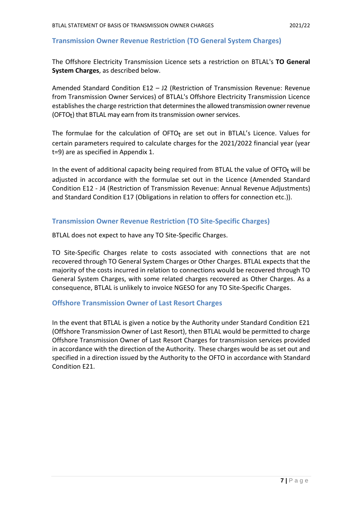#### **Transmission Owner Revenue Restriction (TO General System Charges)**

The Offshore Electricity Transmission Licence sets a restriction on BTLAL's **TO General System Charges**, as described below.

Amended Standard Condition E12 – J2 (Restriction of Transmission Revenue: Revenue from Transmission Owner Services) of BTLAL's Offshore Electricity Transmission Licence establishes the charge restriction that determines the allowed transmission owner revenue (OFTO<sub>t</sub>) that BTLAL may earn from its transmission owner services.

The formulae for the calculation of OFTO $<sub>t</sub>$  are set out in BTLAL's Licence. Values for</sub> certain parameters required to calculate charges for the 2021/2022 financial year (year t=9) are as specified in Appendix 1.

In the event of additional capacity being required from BTLAL the value of OFTO $<sub>t</sub>$  will be</sub> adjusted in accordance with the formulae set out in the Licence (Amended Standard Condition E12 - J4 (Restriction of Transmission Revenue: Annual Revenue Adjustments) and Standard Condition E17 (Obligations in relation to offers for connection etc.)).

#### **Transmission Owner Revenue Restriction (TO Site-Specific Charges)**

BTLAL does not expect to have any TO Site-Specific Charges.

TO Site-Specific Charges relate to costs associated with connections that are not recovered through TO General System Charges or Other Charges. BTLAL expects that the majority of the costs incurred in relation to connections would be recovered through TO General System Charges, with some related charges recovered as Other Charges. As a consequence, BTLAL is unlikely to invoice NGESO for any TO Site-Specific Charges.

#### **Offshore Transmission Owner of Last Resort Charges**

In the event that BTLAL is given a notice by the Authority under Standard Condition E21 (Offshore Transmission Owner of Last Resort), then BTLAL would be permitted to charge Offshore Transmission Owner of Last Resort Charges for transmission services provided in accordance with the direction of the Authority. These charges would be as set out and specified in a direction issued by the Authority to the OFTO in accordance with Standard Condition E21.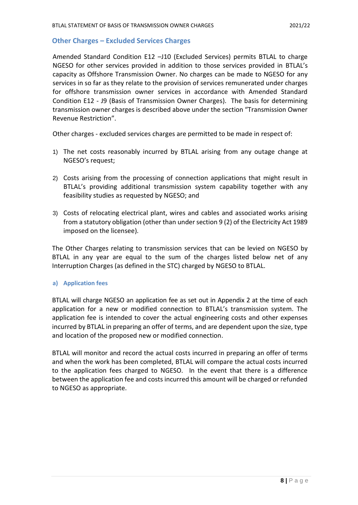#### **Other Charges – Excluded Services Charges**

Amended Standard Condition E12 –J10 (Excluded Services) permits BTLAL to charge NGESO for other services provided in addition to those services provided in BTLAL's capacity as Offshore Transmission Owner. No charges can be made to NGESO for any services in so far as they relate to the provision of services remunerated under charges for offshore transmission owner services in accordance with Amended Standard Condition E12 - J9 (Basis of Transmission Owner Charges). The basis for determining transmission owner charges is described above under the section "Transmission Owner Revenue Restriction".

Other charges - excluded services charges are permitted to be made in respect of:

- 1) The net costs reasonably incurred by BTLAL arising from any outage change at NGESO's request;
- 2) Costs arising from the processing of connection applications that might result in BTLAL's providing additional transmission system capability together with any feasibility studies as requested by NGESO; and
- 3) Costs of relocating electrical plant, wires and cables and associated works arising from a statutory obligation (other than under section 9 (2) of the Electricity Act 1989 imposed on the licensee).

The Other Charges relating to transmission services that can be levied on NGESO by BTLAL in any year are equal to the sum of the charges listed below net of any Interruption Charges (as defined in the STC) charged by NGESO to BTLAL.

#### **a) Application fees**

BTLAL will charge NGESO an application fee as set out in Appendix 2 at the time of each application for a new or modified connection to BTLAL's transmission system. The application fee is intended to cover the actual engineering costs and other expenses incurred by BTLAL in preparing an offer of terms, and are dependent upon the size, type and location of the proposed new or modified connection.

BTLAL will monitor and record the actual costs incurred in preparing an offer of terms and when the work has been completed, BTLAL will compare the actual costs incurred to the application fees charged to NGESO. In the event that there is a difference between the application fee and costs incurred this amount will be charged or refunded to NGESO as appropriate.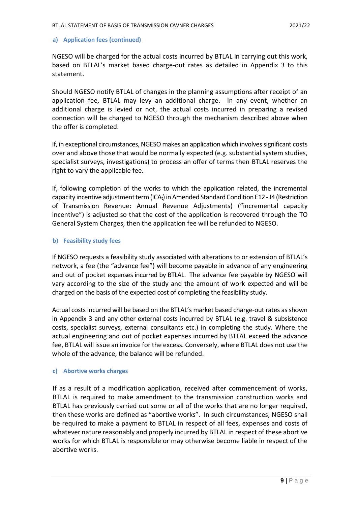#### **a) Application fees (continued)**

NGESO will be charged for the actual costs incurred by BTLAL in carrying out this work, based on BTLAL's market based charge-out rates as detailed in Appendix 3 to this statement.

Should NGESO notify BTLAL of changes in the planning assumptions after receipt of an application fee, BTLAL may levy an additional charge. In any event, whether an additional charge is levied or not, the actual costs incurred in preparing a revised connection will be charged to NGESO through the mechanism described above when the offer is completed.

If, in exceptional circumstances, NGESO makes an application which involves significant costs over and above those that would be normally expected (e.g. substantial system studies, specialist surveys, investigations) to process an offer of terms then BTLAL reserves the right to vary the applicable fee.

If, following completion of the works to which the application related, the incremental capacity incentive adjustment term (ICA<sub>t</sub>) in Amended Standard Condition E12 - J4 (Restriction of Transmission Revenue: Annual Revenue Adjustments) ("incremental capacity incentive") is adjusted so that the cost of the application is recovered through the TO General System Charges, then the application fee will be refunded to NGESO.

#### **b) Feasibility study fees**

If NGESO requests a feasibility study associated with alterations to or extension of BTLAL's network, a fee (the "advance fee") will become payable in advance of any engineering and out of pocket expenses incurred by BTLAL. The advance fee payable by NGESO will vary according to the size of the study and the amount of work expected and will be charged on the basis of the expected cost of completing the feasibility study.

Actual costs incurred will be based on the BTLAL's market based charge-out rates as shown in Appendix 3 and any other external costs incurred by BTLAL (e.g. travel & subsistence costs, specialist surveys, external consultants etc.) in completing the study. Where the actual engineering and out of pocket expenses incurred by BTLAL exceed the advance fee, BTLAL will issue an invoice for the excess. Conversely, where BTLAL does not use the whole of the advance, the balance will be refunded.

#### **c) Abortive works charges**

If as a result of a modification application, received after commencement of works, BTLAL is required to make amendment to the transmission construction works and BTLAL has previously carried out some or all of the works that are no longer required, then these works are defined as "abortive works". In such circumstances, NGESO shall be required to make a payment to BTLAL in respect of all fees, expenses and costs of whatever nature reasonably and properly incurred by BTLAL in respect of these abortive works for which BTLAL is responsible or may otherwise become liable in respect of the abortive works.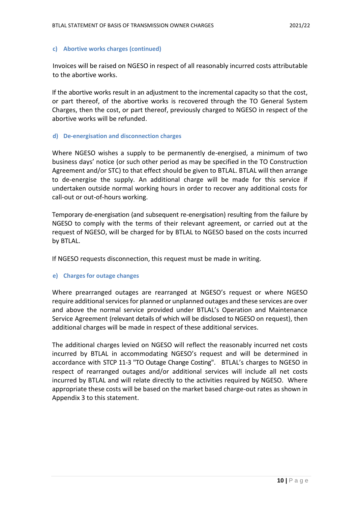#### **c) Abortive works charges (continued)**

Invoices will be raised on NGESO in respect of all reasonably incurred costs attributable to the abortive works.

If the abortive works result in an adjustment to the incremental capacity so that the cost, or part thereof, of the abortive works is recovered through the TO General System Charges, then the cost, or part thereof, previously charged to NGESO in respect of the abortive works will be refunded.

#### **d) De-energisation and disconnection charges**

Where NGESO wishes a supply to be permanently de-energised, a minimum of two business days' notice (or such other period as may be specified in the TO Construction Agreement and/or STC) to that effect should be given to BTLAL. BTLAL will then arrange to de-energise the supply. An additional charge will be made for this service if undertaken outside normal working hours in order to recover any additional costs for call-out or out-of-hours working.

Temporary de-energisation (and subsequent re-energisation) resulting from the failure by NGESO to comply with the terms of their relevant agreement, or carried out at the request of NGESO, will be charged for by BTLAL to NGESO based on the costs incurred by BTLAL.

If NGESO requests disconnection, this request must be made in writing.

#### **e) Charges for outage changes**

Where prearranged outages are rearranged at NGESO's request or where NGESO require additional services for planned or unplanned outages and these services are over and above the normal service provided under BTLAL's Operation and Maintenance Service Agreement (relevant details of which will be disclosed to NGESO on request), then additional charges will be made in respect of these additional services.

The additional charges levied on NGESO will reflect the reasonably incurred net costs incurred by BTLAL in accommodating NGESO's request and will be determined in accordance with STCP 11-3 "TO Outage Change Costing". BTLAL's charges to NGESO in respect of rearranged outages and/or additional services will include all net costs incurred by BTLAL and will relate directly to the activities required by NGESO. Where appropriate these costs will be based on the market based charge-out rates as shown in Appendix 3 to this statement.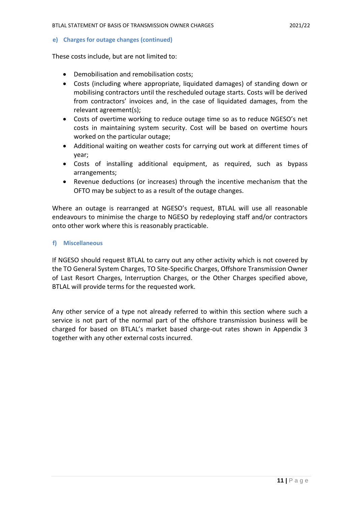**e) Charges for outage changes (continued)**

These costs include, but are not limited to:

- Demobilisation and remobilisation costs;
- Costs (including where appropriate, liquidated damages) of standing down or mobilising contractors until the rescheduled outage starts. Costs will be derived from contractors' invoices and, in the case of liquidated damages, from the relevant agreement(s);
- Costs of overtime working to reduce outage time so as to reduce NGESO's net costs in maintaining system security. Cost will be based on overtime hours worked on the particular outage;
- Additional waiting on weather costs for carrying out work at different times of year;
- Costs of installing additional equipment, as required, such as bypass arrangements;
- Revenue deductions (or increases) through the incentive mechanism that the OFTO may be subject to as a result of the outage changes.

Where an outage is rearranged at NGESO's request, BTLAL will use all reasonable endeavours to minimise the charge to NGESO by redeploying staff and/or contractors onto other work where this is reasonably practicable.

#### **f) Miscellaneous**

If NGESO should request BTLAL to carry out any other activity which is not covered by the TO General System Charges, TO Site-Specific Charges, Offshore Transmission Owner of Last Resort Charges, Interruption Charges, or the Other Charges specified above, BTLAL will provide terms for the requested work.

Any other service of a type not already referred to within this section where such a service is not part of the normal part of the offshore transmission business will be charged for based on BTLAL's market based charge-out rates shown in Appendix 3 together with any other external costs incurred.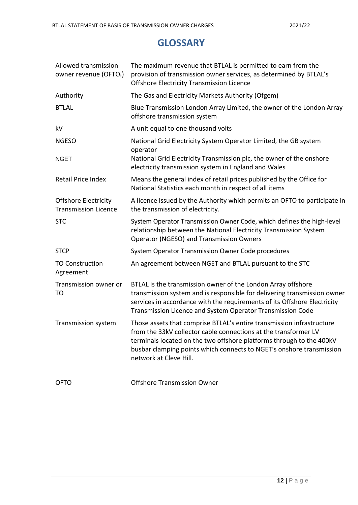### **GLOSSARY**

| Allowed transmission<br>owner revenue (OFTOt)              | The maximum revenue that BTLAL is permitted to earn from the<br>provision of transmission owner services, as determined by BTLAL's<br><b>Offshore Electricity Transmission Licence</b>                                                                                                                             |
|------------------------------------------------------------|--------------------------------------------------------------------------------------------------------------------------------------------------------------------------------------------------------------------------------------------------------------------------------------------------------------------|
| Authority                                                  | The Gas and Electricity Markets Authority (Ofgem)                                                                                                                                                                                                                                                                  |
| <b>BTLAL</b>                                               | Blue Transmission London Array Limited, the owner of the London Array<br>offshore transmission system                                                                                                                                                                                                              |
| kV                                                         | A unit equal to one thousand volts                                                                                                                                                                                                                                                                                 |
| <b>NGESO</b>                                               | National Grid Electricity System Operator Limited, the GB system<br>operator                                                                                                                                                                                                                                       |
| <b>NGET</b>                                                | National Grid Electricity Transmission plc, the owner of the onshore<br>electricity transmission system in England and Wales                                                                                                                                                                                       |
| Retail Price Index                                         | Means the general index of retail prices published by the Office for<br>National Statistics each month in respect of all items                                                                                                                                                                                     |
| <b>Offshore Electricity</b><br><b>Transmission Licence</b> | A licence issued by the Authority which permits an OFTO to participate in<br>the transmission of electricity.                                                                                                                                                                                                      |
| <b>STC</b>                                                 | System Operator Transmission Owner Code, which defines the high-level<br>relationship between the National Electricity Transmission System<br><b>Operator (NGESO) and Transmission Owners</b>                                                                                                                      |
| <b>STCP</b>                                                | System Operator Transmission Owner Code procedures                                                                                                                                                                                                                                                                 |
| <b>TO Construction</b><br>Agreement                        | An agreement between NGET and BTLAL pursuant to the STC                                                                                                                                                                                                                                                            |
| Transmission owner or<br>TO                                | BTLAL is the transmission owner of the London Array offshore<br>transmission system and is responsible for delivering transmission owner<br>services in accordance with the requirements of its Offshore Electricity<br>Transmission Licence and System Operator Transmission Code                                 |
| <b>Transmission system</b>                                 | Those assets that comprise BTLAL's entire transmission infrastructure<br>from the 33kV collector cable connections at the transformer LV<br>terminals located on the two offshore platforms through to the 400kV<br>busbar clamping points which connects to NGET's onshore transmission<br>network at Cleve Hill. |
| <b>OFTO</b>                                                | <b>Offshore Transmission Owner</b>                                                                                                                                                                                                                                                                                 |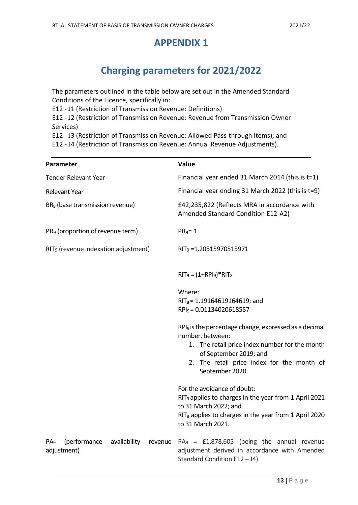### **APPENDIX 1**

# **Charging parameters for 2021/2022**

The parameters outlined in the table below are set out in the Amended Standard Conditions of the Licence, specifically in:

E12 - J1 (Restriction of Transmission Revenue: Definitions)

E12 - J2 (Restriction of Transmission Revenue: Revenue from Transmission Owner Services)

E12 - J3 (Restriction of Transmission Revenue: Allowed Pass-through Items); and

E12 - J4 (Restriction of Transmission Revenue: Annual Revenue Adjustments).

| Parameter                                                                 | Value                                                                                                                                                                                                                              |
|---------------------------------------------------------------------------|------------------------------------------------------------------------------------------------------------------------------------------------------------------------------------------------------------------------------------|
| Tender Relevant Year                                                      | Financial year ended 31 March 2014 (this is t=1)                                                                                                                                                                                   |
| <b>Relevant Year</b>                                                      | Financial year ending 31 March 2022 (this is t=9)                                                                                                                                                                                  |
| BR <sub>9</sub> (base transmission revenue)                               | £42,235,822 (Reflects MRA in accordance with<br>Amended Standard Condition E12-A2)                                                                                                                                                 |
| PR <sub>9</sub> (proportion of revenue term)                              | $PR9=1$                                                                                                                                                                                                                            |
| RIT <sub>9</sub> (revenue indexation adjustment)                          | RIT <sub>9</sub> =1.20515970515971                                                                                                                                                                                                 |
|                                                                           | $RIT_9 = (1+RPI_9)^*RIT_8$                                                                                                                                                                                                         |
|                                                                           | Where:<br>$RIT_8 = 1.19164619164619$ ; and<br>RPI <sub>9</sub> = 0.01134020618557                                                                                                                                                  |
|                                                                           | RPI <sub>9</sub> is the percentage change, expressed as a decimal<br>number, between:<br>1. The retail price index number for the month<br>of September 2019; and<br>2. The retail price index for the month of<br>September 2020. |
|                                                                           | For the avoidance of doubt:<br>RIT <sub>9</sub> applies to charges in the year from 1 April 2021<br>to 31 March 2022; and<br>RIT <sub>8</sub> applies to charges in the year from 1 April 2020<br>to 31 March 2021.                |
| (performance<br>availability<br>PA <sub>9</sub><br>revenue<br>adjustment) | $PA_9 = £1,878,605$ (being the annual revenue<br>adjustment derived in accordance with Amended<br>Standard Condition E12-J4)                                                                                                       |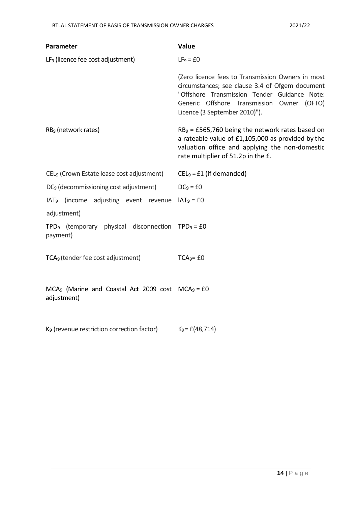| Parameter                                                                               | Value                                                                                                                                                                                                                               |
|-----------------------------------------------------------------------------------------|-------------------------------------------------------------------------------------------------------------------------------------------------------------------------------------------------------------------------------------|
| LF <sub>9</sub> (licence fee cost adjustment)                                           | $LF9 = £0$                                                                                                                                                                                                                          |
|                                                                                         | (Zero licence fees to Transmission Owners in most<br>circumstances; see clause 3.4 of Ofgem document<br>"Offshore Transmission Tender Guidance Note:<br>Generic Offshore Transmission Owner (OFTO)<br>Licence (3 September 2010)"). |
| RB <sub>9</sub> (network rates)                                                         | $RB9 = £565,760$ being the network rates based on<br>a rateable value of £1,105,000 as provided by the<br>valuation office and applying the non-domestic<br>rate multiplier of 51.2p in the £.                                      |
| CEL <sub>9</sub> (Crown Estate lease cost adjustment)                                   | $CEL9 = £1$ (if demanded)                                                                                                                                                                                                           |
| DC <sub>9</sub> (decommissioning cost adjustment)                                       | $DC_9 = £0$                                                                                                                                                                                                                         |
| IAT <sub>9</sub> (income adjusting event revenue $IAT_9 = EO$                           |                                                                                                                                                                                                                                     |
| adjustment)                                                                             |                                                                                                                                                                                                                                     |
| TPD <sub>9</sub> (temporary physical disconnection TPD <sub>9</sub> = £0<br>payment)    |                                                                                                                                                                                                                                     |
| TCA <sub>9</sub> (tender fee cost adjustment)                                           | $TCA9=f0$                                                                                                                                                                                                                           |
| MCA <sub>9</sub> (Marine and Coastal Act 2009 cost MCA <sub>9</sub> = £0<br>adjustment) |                                                                                                                                                                                                                                     |
| K <sub>9</sub> (revenue restriction correction factor)                                  | $K_9 = \pounds (48, 714)$                                                                                                                                                                                                           |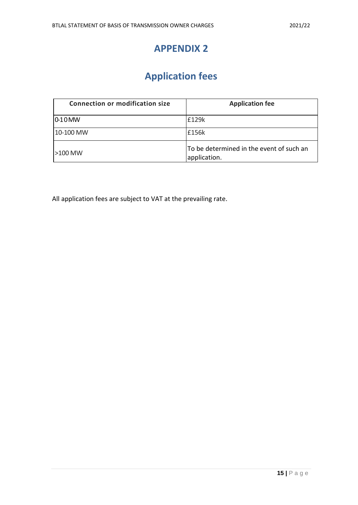## **APPENDIX 2**

# **Application fees**

| <b>Connection or modification size</b> | <b>Application fee</b>                                   |
|----------------------------------------|----------------------------------------------------------|
| $ 0-10$ MW                             | £129k                                                    |
| 10-100 MW                              | £156k                                                    |
| $\geq$ 100 MW                          | To be determined in the event of such an<br>application. |

All application fees are subject to VAT at the prevailing rate.